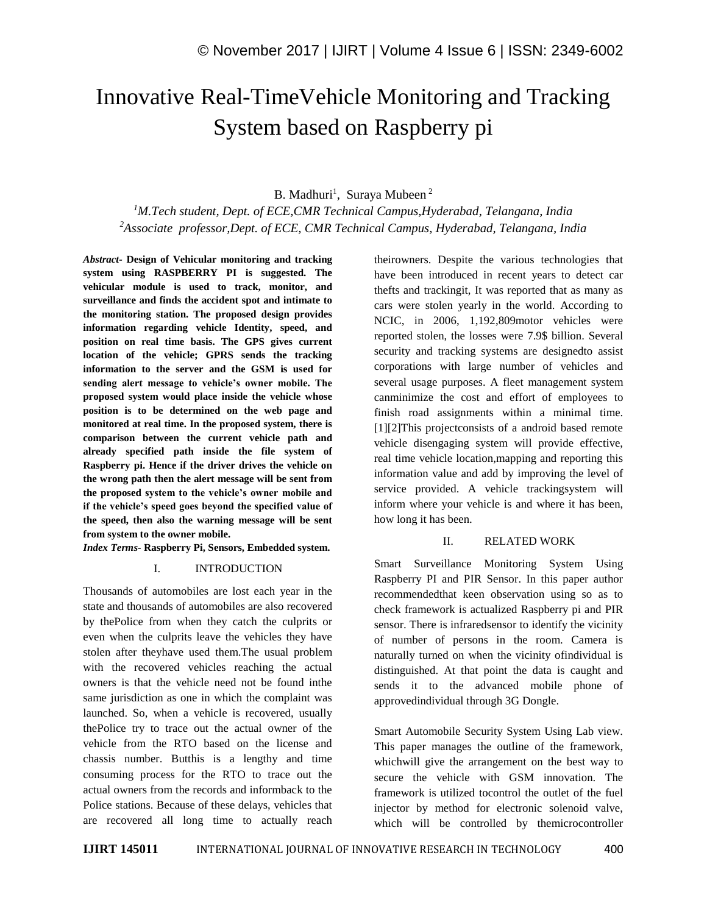# Innovative Real-TimeVehicle Monitoring and Tracking System based on Raspberry pi

B. Madhuri<sup>1</sup>, Suraya Mubeen<sup>2</sup>

*<sup>1</sup>M.Tech student, Dept. of ECE,CMR Technical Campus,Hyderabad, Telangana, India <sup>2</sup>Associate professor,Dept. of ECE, CMR Technical Campus, Hyderabad, Telangana, India*

*Abstract-* **Design of Vehicular monitoring and tracking system using RASPBERRY PI is suggested. The vehicular module is used to track, monitor, and surveillance and finds the accident spot and intimate to the monitoring station. The proposed design provides information regarding vehicle Identity, speed, and position on real time basis. The GPS gives current location of the vehicle; GPRS sends the tracking information to the server and the GSM is used for sending alert message to vehicle's owner mobile. The proposed system would place inside the vehicle whose position is to be determined on the web page and monitored at real time. In the proposed system, there is comparison between the current vehicle path and already specified path inside the file system of Raspberry pi. Hence if the driver drives the vehicle on the wrong path then the alert message will be sent from the proposed system to the vehicle's owner mobile and if the vehicle's speed goes beyond the specified value of the speed, then also the warning message will be sent from system to the owner mobile.**

*Index Terms-* **Raspberry Pi, Sensors, Embedded system.**

#### I. INTRODUCTION

Thousands of automobiles are lost each year in the state and thousands of automobiles are also recovered by thePolice from when they catch the culprits or even when the culprits leave the vehicles they have stolen after theyhave used them.The usual problem with the recovered vehicles reaching the actual owners is that the vehicle need not be found inthe same jurisdiction as one in which the complaint was launched. So, when a vehicle is recovered, usually thePolice try to trace out the actual owner of the vehicle from the RTO based on the license and chassis number. Butthis is a lengthy and time consuming process for the RTO to trace out the actual owners from the records and informback to the Police stations. Because of these delays, vehicles that are recovered all long time to actually reach theirowners. Despite the various technologies that have been introduced in recent years to detect car thefts and trackingit, It was reported that as many as cars were stolen yearly in the world. According to NCIC, in 2006, 1,192,809motor vehicles were reported stolen, the losses were 7.9\$ billion. Several security and tracking systems are designedto assist corporations with large number of vehicles and several usage purposes. A fleet management system canminimize the cost and effort of employees to finish road assignments within a minimal time. [1][2]This projectconsists of a android based remote vehicle disengaging system will provide effective, real time vehicle location,mapping and reporting this information value and add by improving the level of service provided. A vehicle trackingsystem will inform where your vehicle is and where it has been, how long it has been.

### II. RELATED WORK

Smart Surveillance Monitoring System Using Raspberry PI and PIR Sensor. In this paper author recommendedthat keen observation using so as to check framework is actualized Raspberry pi and PIR sensor. There is infraredsensor to identify the vicinity of number of persons in the room. Camera is naturally turned on when the vicinity ofindividual is distinguished. At that point the data is caught and sends it to the advanced mobile phone of approvedindividual through 3G Dongle.

Smart Automobile Security System Using Lab view. This paper manages the outline of the framework, whichwill give the arrangement on the best way to secure the vehicle with GSM innovation. The framework is utilized tocontrol the outlet of the fuel injector by method for electronic solenoid valve, which will be controlled by themicrocontroller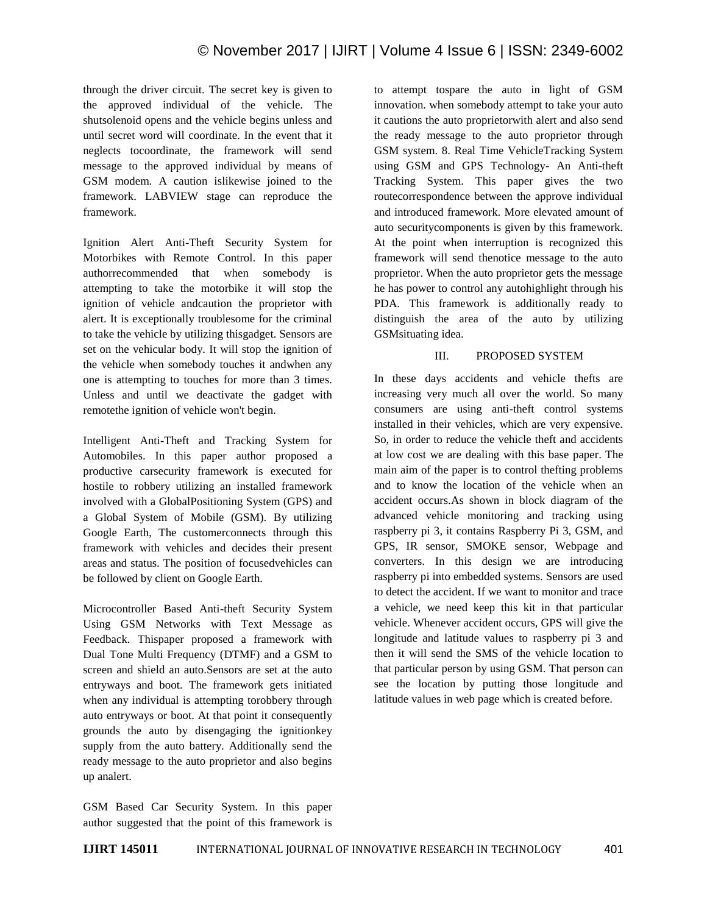through the driver circuit. The secret key is given to the approved individual of the vehicle. The shutsolenoid opens and the vehicle begins unless and until secret word will coordinate. In the event that it neglects tocoordinate, the framework will send message to the approved individual by means of GSM modem. A caution islikewise joined to the framework. LABVIEW stage can reproduce the framework.

Ignition Alert Anti-Theft Security System for Motorbikes with Remote Control. In this paper authorrecommended that when somebody is attempting to take the motorbike it will stop the ignition of vehicle andcaution the proprietor with alert. It is exceptionally troublesome for the criminal to take the vehicle by utilizing thisgadget. Sensors are set on the vehicular body. It will stop the ignition of the vehicle when somebody touches it andwhen any one is attempting to touches for more than 3 times. Unless and until we deactivate the gadget with remotethe ignition of vehicle won't begin.

Intelligent Anti-Theft and Tracking System for Automobiles. In this paper author proposed a productive carsecurity framework is executed for hostile to robbery utilizing an installed framework involved with a GlobalPositioning System (GPS) and a Global System of Mobile (GSM). By utilizing Google Earth, The customerconnects through this framework with vehicles and decides their present areas and status. The position of focusedvehicles can be followed by client on Google Earth.

Microcontroller Based Anti-theft Security System Using GSM Networks with Text Message as Feedback. Thispaper proposed a framework with Dual Tone Multi Frequency (DTMF) and a GSM to screen and shield an auto.Sensors are set at the auto entryways and boot. The framework gets initiated when any individual is attempting torobbery through auto entryways or boot. At that point it consequently grounds the auto by disengaging the ignitionkey supply from the auto battery. Additionally send the ready message to the auto proprietor and also begins up analert.

GSM Based Car Security System. In this paper author suggested that the point of this framework is

to attempt tospare the auto in light of GSM innovation. when somebody attempt to take your auto it cautions the auto proprietorwith alert and also send the ready message to the auto proprietor through GSM system. 8. Real Time VehicleTracking System using GSM and GPS Technology- An Anti-theft Tracking System. This paper gives the two routecorrespondence between the approve individual and introduced framework. More elevated amount of auto securitycomponents is given by this framework. At the point when interruption is recognized this framework will send thenotice message to the auto proprietor. When the auto proprietor gets the message he has power to control any autohighlight through his PDA. This framework is additionally ready to distinguish the area of the auto by utilizing GSMsituating idea.

# III. PROPOSED SYSTEM

In these days accidents and vehicle thefts are increasing very much all over the world. So many consumers are using anti-theft control systems installed in their vehicles, which are very expensive. So, in order to reduce the vehicle theft and accidents at low cost we are dealing with this base paper. The main aim of the paper is to control thefting problems and to know the location of the vehicle when an accident occurs.As shown in block diagram of the advanced vehicle monitoring and tracking using raspberry pi 3, it contains Raspberry Pi 3, GSM, and GPS, IR sensor, SMOKE sensor, Webpage and converters. In this design we are introducing raspberry pi into embedded systems. Sensors are used to detect the accident. If we want to monitor and trace a vehicle, we need keep this kit in that particular vehicle. Whenever accident occurs, GPS will give the longitude and latitude values to raspberry pi 3 and then it will send the SMS of the vehicle location to that particular person by using GSM. That person can see the location by putting those longitude and latitude values in web page which is created before.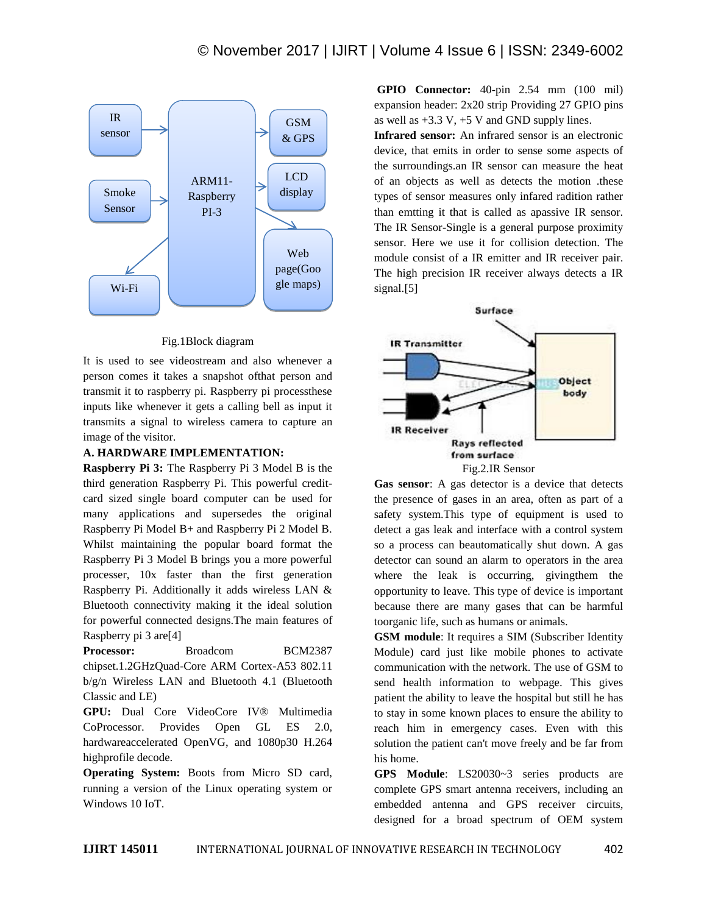

## Fig.1Block diagram

It is used to see videostream and also whenever a person comes it takes a snapshot ofthat person and transmit it to raspberry pi. Raspberry pi processthese inputs like whenever it gets a calling bell as input it transmits a signal to wireless camera to capture an image of the visitor.

## **A. HARDWARE IMPLEMENTATION:**

**Raspberry Pi 3:** The Raspberry Pi 3 Model B is the third generation Raspberry Pi. This powerful creditcard sized single board computer can be used for many applications and supersedes the original Raspberry Pi Model B+ and Raspberry Pi 2 Model B. Whilst maintaining the popular board format the Raspberry Pi 3 Model B brings you a more powerful processer, 10x faster than the first generation Raspberry Pi. Additionally it adds wireless LAN & Bluetooth connectivity making it the ideal solution for powerful connected designs.The main features of Raspberry pi 3 are[4]

Processor: Broadcom BCM2387 chipset.1.2GHzQuad-Core ARM Cortex-A53 802.11 b/g/n Wireless LAN and Bluetooth 4.1 (Bluetooth Classic and LE)

**GPU:** Dual Core VideoCore IV® Multimedia CoProcessor. Provides Open GL ES 2.0, hardwareaccelerated OpenVG, and 1080p30 H.264 highprofile decode.

**Operating System:** Boots from Micro SD card, running a version of the Linux operating system or Windows 10 IoT.

**GPIO Connector:** 40-pin 2.54 mm (100 mil) expansion header: 2x20 strip Providing 27 GPIO pins as well as  $+3.3$  V,  $+5$  V and GND supply lines.

**Infrared sensor:** An infrared sensor is an electronic device, that emits in order to sense some aspects of the surroundings.an IR sensor can measure the heat of an objects as well as detects the motion .these types of sensor measures only infared radition rather than emtting it that is called as apassive IR sensor. The IR Sensor-Single is a general purpose proximity sensor. Here we use it for collision detection. The module consist of a IR emitter and IR receiver pair. The high precision IR receiver always detects a IR signal.[5]



**Gas sensor**: A gas detector is a device that detects the presence of gases in an area, often as part of a safety system.This type of equipment is used to detect a gas leak and interface with a control system so a process can beautomatically shut down. A gas detector can sound an alarm to operators in the area where the leak is occurring, givingthem the opportunity to leave. This type of device is important because there are many gases that can be harmful toorganic life, such as humans or animals.

**GSM module**: It requires a SIM (Subscriber Identity Module) card just like mobile phones to activate communication with the network. The use of GSM to send health information to webpage. This gives patient the ability to leave the hospital but still he has to stay in some known places to ensure the ability to reach him in emergency cases. Even with this solution the patient can't move freely and be far from his home.

**GPS Module**: LS20030~3 series products are complete GPS smart antenna receivers, including an embedded antenna and GPS receiver circuits, designed for a broad spectrum of OEM system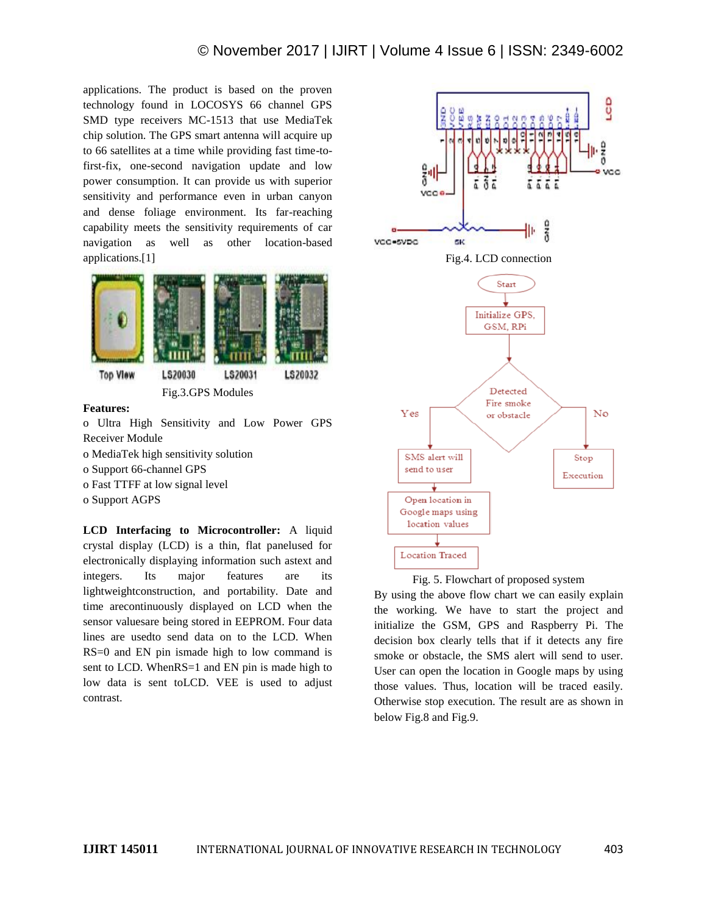applications. The product is based on the proven technology found in LOCOSYS 66 channel GPS SMD type receivers MC-1513 that use MediaTek chip solution. The GPS smart antenna will acquire up to 66 satellites at a time while providing fast time-tofirst-fix, one-second navigation update and low power consumption. It can provide us with superior sensitivity and performance even in urban canyon and dense foliage environment. Its far-reaching capability meets the sensitivity requirements of car navigation as well as other location-based applications.[1]



Fig.3.GPS Modules

#### **Features:**

o Ultra High Sensitivity and Low Power GPS Receiver Module o MediaTek high sensitivity solution o Support 66-channel GPS o Fast TTFF at low signal level o Support AGPS

**LCD Interfacing to Microcontroller:** A liquid crystal display (LCD) is a thin, flat panelused for electronically displaying information such astext and integers. Its major features are its lightweightconstruction, and portability. Date and time arecontinuously displayed on LCD when the sensor valuesare being stored in EEPROM. Four data lines are usedto send data on to the LCD. When RS=0 and EN pin ismade high to low command is sent to LCD. WhenRS=1 and EN pin is made high to low data is sent toLCD. VEE is used to adjust contrast.





By using the above flow chart we can easily explain the working. We have to start the project and initialize the GSM, GPS and Raspberry Pi. The decision box clearly tells that if it detects any fire smoke or obstacle, the SMS alert will send to user. User can open the location in Google maps by using those values. Thus, location will be traced easily. Otherwise stop execution. The result are as shown in below Fig.8 and Fig.9.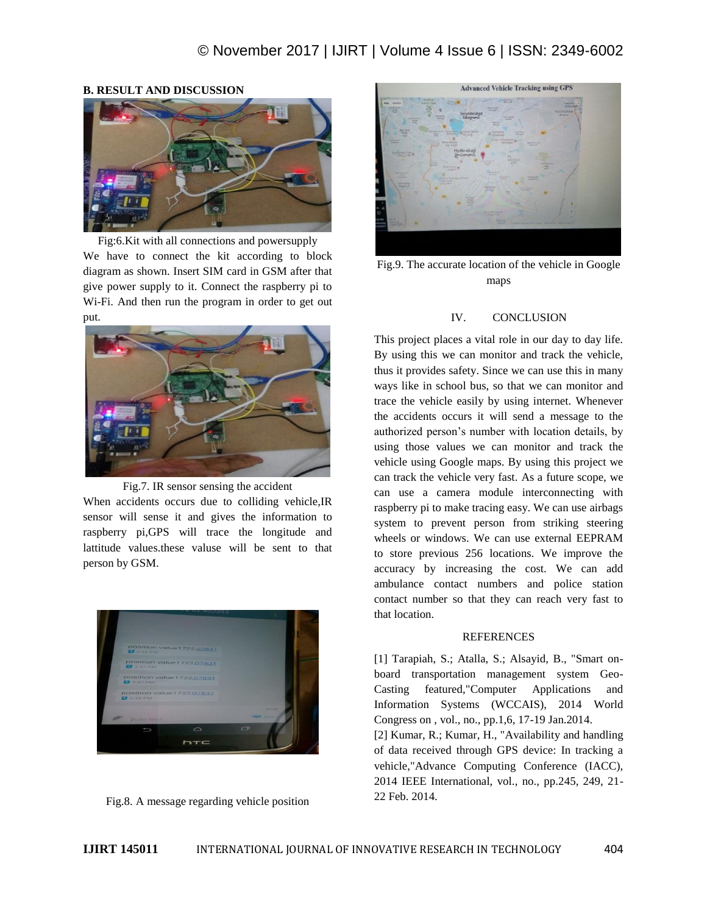

# **B. RESULT AND DISCUSSION**

Fig:6.Kit with all connections and powersupply We have to connect the kit according to block diagram as shown. Insert SIM card in GSM after that give power supply to it. Connect the raspberry pi to Wi-Fi. And then run the program in order to get out put.



Fig.7. IR sensor sensing the accident When accidents occurs due to colliding vehicle,IR sensor will sense it and gives the information to raspberry pi,GPS will trace the longitude and lattitude values.these valuse will be sent to that person by GSM.



Fig.8. A message regarding vehicle position



Fig.9. The accurate location of the vehicle in Google maps

# IV. CONCLUSION

This project places a vital role in our day to day life. By using this we can monitor and track the vehicle, thus it provides safety. Since we can use this in many ways like in school bus, so that we can monitor and trace the vehicle easily by using internet. Whenever the accidents occurs it will send a message to the authorized person's number with location details, by using those values we can monitor and track the vehicle using Google maps. By using this project we can track the vehicle very fast. As a future scope, we can use a camera module interconnecting with raspberry pi to make tracing easy. We can use airbags system to prevent person from striking steering wheels or windows. We can use external EEPRAM to store previous 256 locations. We improve the accuracy by increasing the cost. We can add ambulance contact numbers and police station contact number so that they can reach very fast to that location.

#### REFERENCES

[1] Tarapiah, S.; Atalla, S.; Alsayid, B., "Smart onboard transportation management system Geo-Casting featured,"Computer Applications and Information Systems (WCCAIS), 2014 World Congress on , vol., no., pp.1,6, 17-19 Jan.2014. [2] Kumar, R.; Kumar, H., "Availability and handling of data received through GPS device: In tracking a vehicle,"Advance Computing Conference (IACC), 2014 IEEE International, vol., no., pp.245, 249, 21- 22 Feb. 2014.